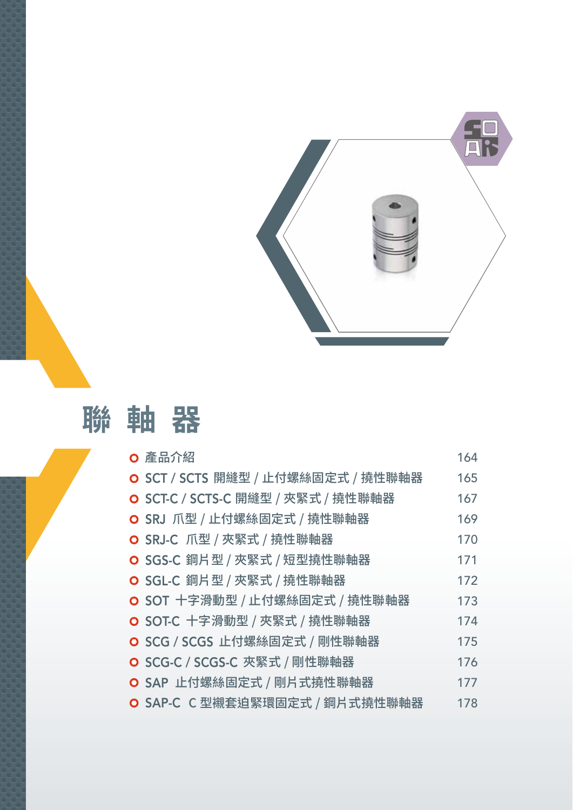

# **聯軸器**

| ○ 產品介紹                             | 164 |
|------------------------------------|-----|
| O SCT / SCTS 開縫型 / 止付螺絲固定式 / 撓性聯軸器 | 165 |
| O SCT-C / SCTS-C 開縫型 / 夾緊式 / 撓性聯軸器 | 167 |
| O SRJ 爪型 / 止付螺絲固定式 / 撓性聯軸器         | 169 |
| O SRJ-C 爪型 / 夾緊式 / 撓性聯軸器           | 170 |
| O SGS-C 鋼片型 / 夾緊式 / 短型撓性聯軸器        | 171 |
| O SGL-C 鋼片型 / 夾緊式 / 撓性聯軸器          | 172 |
| O SOT 十字滑動型 / 止付螺絲固定式 / 撓性聯軸器      | 173 |
| O SOT-C 十字滑動型 / 夾緊式 / 撓性聯軸器        | 174 |
| O SCG / SCGS 止付螺絲固定式 / 剛性聯軸器       | 175 |
| O SCG-C / SCGS-C 夾緊式 / 剛性聯軸器       | 176 |
| O SAP 止付螺絲固定式 / 剛片式撓性聯軸器           | 177 |
| O SAP-C C 型襯套迫緊環固定式 / 鋼片式撓性聯軸器     | 178 |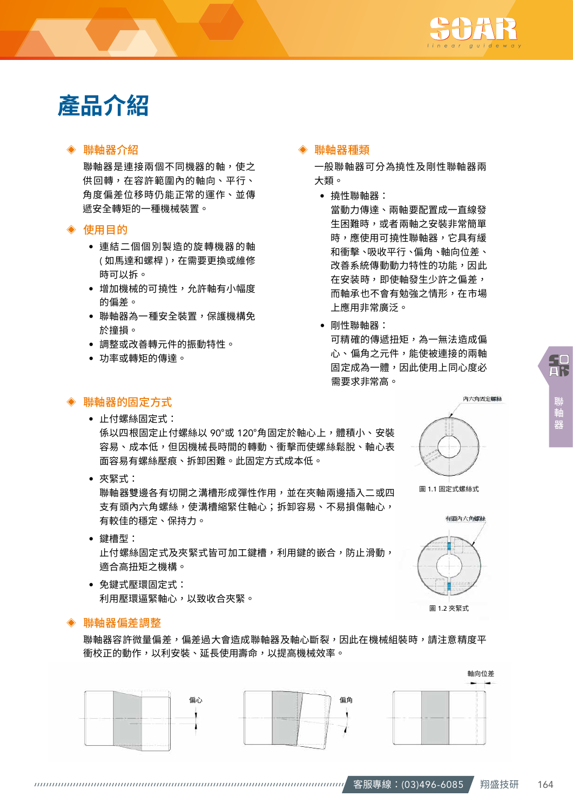

# **產品介紹**

### ◈ 聯軸器介紹

聯軸器是連接兩個不同機器的軸,使之 供回轉,在容許範圍內的軸向、平行、 角度偏差位移時仍能正常的運作、並傳 遞安全轉矩的一種機械裝置。

#### ◈ 使用目的

- 連結二個個別製造的旋轉機器的軸 ( 如馬達和螺桿 ),在需要更換或維修 時可以拆。
- 增加機械的可撓性,允許軸有小幅度 的偏差。
- 聯軸器為一種安全裝置,保護機構免 於撞損。
- 調整或改善轉元件的振動特性。
- 功率或轉矩的傳達。

#### ◈ 聯軸器種類

一般聯軸器可分為撓性及剛性聯軸器兩 大類。

- 撓性聯軸器: 當動力傳達、兩軸要配置成一直線發 生困難時,或者兩軸之安裝非常簡單 時,應使用可撓性聯軸器,它具有緩 和衝擊、吸收平行、偏角、軸向位差、 改善系統傳動動力特性的功能,因此 在安装時,即使軸發生少許之偏差, 而軸承也不會有勉強之情形,在市場 上應用非常廣泛。
- 剛性聯軸器: 可精確的傳遞扭矩,為一無法造成偏 心、偏角之元件,能使被連接的兩軸 固定成為一體,因此使用上同心度必 需要求非常高。

圖 1.1 固定式螺絲式

有頭內六角螺絲

内去鱼网党舰线

圖 1.2 夾緊式

# 品

聯軸器

## ◈ 聯軸器的固定方式

- 止付螺絲固定式: 係以四根固定止付螺絲以 90°或 120°角固定於軸心上,體積小、安裝 容易、成本低,但因機械長時間的轉動、衝擊而使螺絲鬆脫、軸心表 面容易有螺絲壓痕、拆卸困難。此固定方式成本低。
- 夾緊式:

聯軸器雙邊各有切開之溝槽形成彈性作用,並在夾軸兩邊插入二或四 支有頭內六角螺絲,使溝槽縮緊住軸心;拆卸容易、不易損傷軸心, 有較佳的穩定、保持力。

- 鍵槽型: 止付螺絲固定式及夾緊式皆可加工鍵槽,利用鍵的嵌合,防止滑動, 適合高扭矩之機構。
- 免鍵式壓環固定式: 利用壓環逼緊軸心,以致收合夾緊。

#### ◈ 聯軸器偏差調整

聯軸器容許微量偏差,偏差過大會造成聯軸器及軸心斷裂,因此在機械組裝時,請注意精度平 衝校正的動作,以利安裝、延長使用壽命,以提高機械效率。

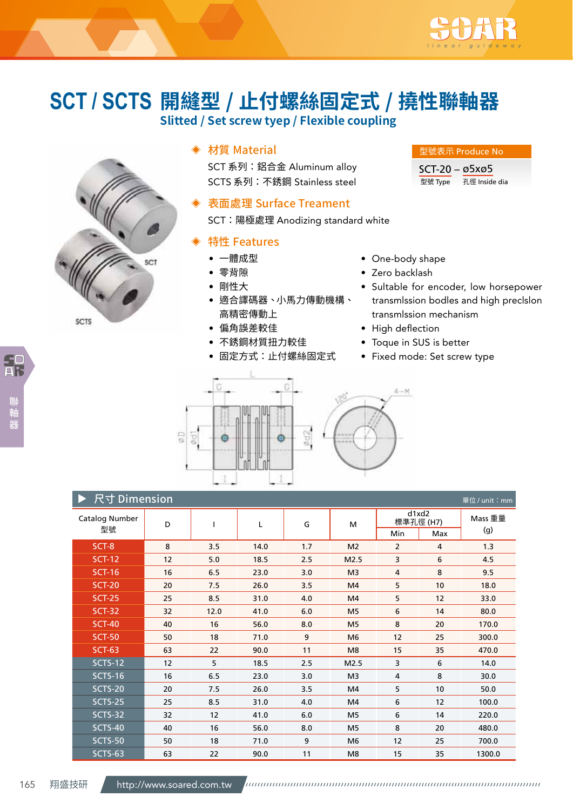

# **開縫型 / 止付螺絲固定式 / 撓性聯軸器 SCT / SCTS**

**Slitted / Set screw tyep / Flexible coupling**



# ◈ 材質 Material

SCT 系列: 鋁合金 Aluminum alloy SCTS 系列:不銹鋼 Stainless steel

### 表面處理 Surface Treament

SCT:陽極處理 Anodizing standard white

## ◈ 特性 Features

- 一體成型
- 零背隙
- 剛性大
- 適合譯碼器、小馬力傳動機構、 高精密傳動上
- 偏角誤差較佳
- 不銹鋼材質扭力較佳
- 固定方式:止付螺絲固定式

# 型號 Type 孔徑 Inside dia

型號表示 Produce No SCT-20 – ø5xø5

- One-body shape
- Zero backlash
- Sultable for encoder, low horsepower transmlssion bodles and high preclslon transmlssion mechanism
- High deflection
- Toque in SUS is better
- Fixed mode: Set screw type



| 尺寸 Dimension<br>單位 / unit: mm |    |      |      |     |                |                       |                    |                |  |  |  |  |
|-------------------------------|----|------|------|-----|----------------|-----------------------|--------------------|----------------|--|--|--|--|
| <b>Catalog Number</b><br>型號   | D  |      | Г    | G   | M              |                       | d1xd2<br>標準孔徑 (H7) | Mass 重量<br>(g) |  |  |  |  |
|                               | 8  |      |      | 1.7 |                | Min<br>$\overline{2}$ | Max<br>4           | 1.3            |  |  |  |  |
| SCT-8                         |    | 3.5  | 14.0 |     | M <sub>2</sub> |                       |                    |                |  |  |  |  |
| <b>SCT-12</b>                 | 12 | 5.0  | 18.5 | 2.5 | M2.5           | 3                     | 6                  | 4.5            |  |  |  |  |
| <b>SCT-16</b>                 | 16 | 6.5  | 23.0 | 3.0 | M <sub>3</sub> | 4                     | 8                  | 9.5            |  |  |  |  |
| <b>SCT-20</b>                 | 20 | 7.5  | 26.0 | 3.5 | M4             | 5                     | 10                 | 18.0           |  |  |  |  |
| <b>SCT-25</b>                 | 25 | 8.5  | 31.0 | 4.0 | M4             | 5                     | 12                 | 33.0           |  |  |  |  |
| <b>SCT-32</b>                 | 32 | 12.0 | 41.0 | 6.0 | M <sub>5</sub> | 6                     | 14                 | 80.0           |  |  |  |  |
| <b>SCT-40</b>                 | 40 | 16   | 56.0 | 8.0 | M <sub>5</sub> | 8                     | 20                 | 170.0          |  |  |  |  |
| <b>SCT-50</b>                 | 50 | 18   | 71.0 | 9   | M <sub>6</sub> | 12                    | 25                 | 300.0          |  |  |  |  |
| <b>SCT-63</b>                 | 63 | 22   | 90.0 | 11  | M <sub>8</sub> | 15                    | 35                 | 470.0          |  |  |  |  |
| <b>SCTS-12</b>                | 12 | 5    | 18.5 | 2.5 | M2.5           | 3                     | 6                  | 14.0           |  |  |  |  |
| <b>SCTS-16</b>                | 16 | 6.5  | 23.0 | 3.0 | M <sub>3</sub> | 4                     | 8                  | 30.0           |  |  |  |  |
| SCTS-20                       | 20 | 7.5  | 26.0 | 3.5 | M4             | 5                     | 10 <sup>°</sup>    | 50.0           |  |  |  |  |
| SCTS-25                       | 25 | 8.5  | 31.0 | 4.0 | M4             | 6                     | 12                 | 100.0          |  |  |  |  |
| SCTS-32                       | 32 | 12   | 41.0 | 6.0 | M <sub>5</sub> | 6                     | 14                 | 220.0          |  |  |  |  |
| <b>SCTS-40</b>                | 40 | 16   | 56.0 | 8.0 | M <sub>5</sub> | 8                     | 20                 | 480.0          |  |  |  |  |
| <b>SCTS-50</b>                | 50 | 18   | 71.0 | 9   | M6             | 12                    | 25                 | 700.0          |  |  |  |  |
| SCTS-63                       | 63 | 22   | 90.0 | 11  | M8             | 15                    | 35                 | 1300.0         |  |  |  |  |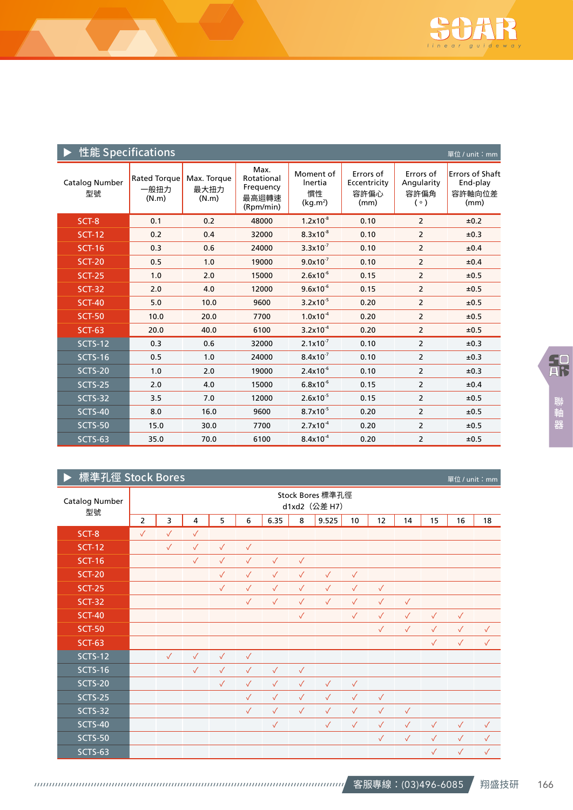

| 性能 Specifications    |                               |                              |                                                       |                                                    |                                           |                                        | 單位 / unit: mm                                        |
|----------------------|-------------------------------|------------------------------|-------------------------------------------------------|----------------------------------------------------|-------------------------------------------|----------------------------------------|------------------------------------------------------|
| Catalog Number<br>型號 | Rated Torque<br>一般扭力<br>(N.m) | Max. Torque<br>最大扭力<br>(N.m) | Max.<br>Rotational<br>Frequency<br>最高迴轉速<br>(Rpm/min) | Moment of<br>Inertia<br>慣性<br>(kq.m <sup>2</sup> ) | Errors of<br>Eccentricity<br>容許偏心<br>(mm) | Errors of<br>Angularity<br>容許偏角<br>(°) | <b>Errors of Shaft</b><br>End-play<br>容許軸向位差<br>(mm) |
| SCT-8                | 0.1                           | 0.2                          | 48000                                                 | $1.2x10^{-8}$                                      | 0.10                                      | $\overline{2}$                         | ±0.2                                                 |
| <b>SCT-12</b>        | 0.2                           | 0.4                          | 32000                                                 | $8.3x10^{-8}$                                      | 0.10                                      | $\overline{2}$                         | ±0.3                                                 |
| <b>SCT-16</b>        | 0.3                           | 0.6                          | 24000                                                 | $3.3x10^{-7}$                                      | 0.10                                      | $\overline{2}$                         | ±0.4                                                 |
| <b>SCT-20</b>        | 0.5                           | 1.0                          | 19000                                                 | $9.0x10^{-7}$                                      | 0.10                                      | $\overline{2}$                         | ±0.4                                                 |
| <b>SCT-25</b>        | 1.0                           | 2.0                          | 15000                                                 | $2.6x10^{-6}$                                      | 0.15                                      | $\overline{2}$                         | ±0.5                                                 |
| <b>SCT-32</b>        | 2.0                           | 4.0                          | 12000                                                 | $9.6x10^{-6}$                                      | 0.15                                      | $\overline{2}$                         | ±0.5                                                 |
| <b>SCT-40</b>        | 5.0                           | 10.0                         | 9600                                                  | $3.2x10^{-5}$                                      | 0.20                                      | $\overline{2}$                         | ±0.5                                                 |
| <b>SCT-50</b>        | 10.0                          | 20.0                         | 7700                                                  | $1.0x10^{-4}$                                      | 0.20                                      | $\overline{2}$                         | ±0.5                                                 |
| <b>SCT-63</b>        | 20.0                          | 40.0                         | 6100                                                  | $3.2 \times 10^{-4}$                               | 0.20                                      | 2                                      | ±0.5                                                 |
| <b>SCTS-12</b>       | 0.3                           | 0.6                          | 32000                                                 | $2.1x10^{-7}$                                      | 0.10                                      | $\overline{2}$                         | ±0.3                                                 |
| <b>SCTS-16</b>       | 0.5                           | 1.0                          | 24000                                                 | $8.4x10^{-7}$                                      | 0.10                                      | $\overline{2}$                         | ±0.3                                                 |
| <b>SCTS-20</b>       | 1.0                           | 2.0                          | 19000                                                 | $2.4x10^{-6}$                                      | 0.10                                      | $\overline{2}$                         | ±0.3                                                 |
| <b>SCTS-25</b>       | 2.0                           | 4.0                          | 15000                                                 | $6.8x10^{-6}$                                      | 0.15                                      | $\overline{2}$                         | ±0.4                                                 |
| <b>SCTS-32</b>       | 3.5                           | 7.0                          | 12000                                                 | $2.6x10^{-5}$                                      | 0.15                                      | $\overline{2}$                         | ±0.5                                                 |
| SCTS-40              | 8.0                           | 16.0                         | 9600                                                  | $8.7x10^{-5}$                                      | 0.20                                      | $\overline{2}$                         | ±0.5                                                 |
| <b>SCTS-50</b>       | 15.0                          | 30.0                         | 7700                                                  | $2.7 \times 10^{-4}$                               | 0.20                                      | $\overline{2}$                         | ±0.5                                                 |
| <b>SCTS-63</b>       | 35.0                          | 70.0                         | 6100                                                  | $8.4x10^{-4}$                                      | 0.20                                      | 2                                      | ±0.5                                                 |

# ▶ 標準孔徑 Stock Bores

| 標準孔徑 Stock Bores     |                                   |              |              |              |              |              |              |              |                 |              |              |              | 單位 / unit: mm |              |  |
|----------------------|-----------------------------------|--------------|--------------|--------------|--------------|--------------|--------------|--------------|-----------------|--------------|--------------|--------------|---------------|--------------|--|
| Catalog Number<br>型號 | Stock Bores 標準孔徑<br>d1xd2 (公差 H7) |              |              |              |              |              |              |              |                 |              |              |              |               |              |  |
|                      | $\overline{2}$                    | 3            | 4            | 5            | 6            | 6.35         | 8            | 9.525        | 10 <sup>1</sup> | 12           | 14           | 15           | 16            | 18           |  |
| SCT-8                | $\checkmark$                      | $\checkmark$ | $\checkmark$ |              |              |              |              |              |                 |              |              |              |               |              |  |
| <b>SCT-12</b>        |                                   | $\checkmark$ | $\checkmark$ | $\checkmark$ | $\checkmark$ |              |              |              |                 |              |              |              |               |              |  |
| <b>SCT-16</b>        |                                   |              | $\checkmark$ | $\checkmark$ | $\checkmark$ | $\checkmark$ | $\checkmark$ |              |                 |              |              |              |               |              |  |
| <b>SCT-20</b>        |                                   |              |              | $\checkmark$ | $\checkmark$ | $\checkmark$ | $\checkmark$ | $\checkmark$ | $\checkmark$    |              |              |              |               |              |  |
| <b>SCT-25</b>        |                                   |              |              | $\sqrt{}$    | $\checkmark$ | $\checkmark$ | $\checkmark$ | $\checkmark$ | $\checkmark$    | $\checkmark$ |              |              |               |              |  |
| <b>SCT-32</b>        |                                   |              |              |              | $\checkmark$ | $\checkmark$ | $\checkmark$ | $\checkmark$ | $\checkmark$    | $\checkmark$ | $\checkmark$ |              |               |              |  |
| <b>SCT-40</b>        |                                   |              |              |              |              |              | $\checkmark$ |              | $\checkmark$    | $\checkmark$ | $\checkmark$ | $\checkmark$ | $\checkmark$  |              |  |
| <b>SCT-50</b>        |                                   |              |              |              |              |              |              |              |                 | $\checkmark$ | $\checkmark$ | $\checkmark$ | $\checkmark$  | $\checkmark$ |  |
| <b>SCT-63</b>        |                                   |              |              |              |              |              |              |              |                 |              |              | $\checkmark$ | $\checkmark$  | $\checkmark$ |  |
| <b>SCTS-12</b>       |                                   | $\checkmark$ | $\checkmark$ | $\checkmark$ | $\checkmark$ |              |              |              |                 |              |              |              |               |              |  |
| <b>SCTS-16</b>       |                                   |              | $\checkmark$ | $\checkmark$ | $\checkmark$ | $\checkmark$ | $\checkmark$ |              |                 |              |              |              |               |              |  |
| <b>SCTS-20</b>       |                                   |              |              | $\checkmark$ | $\checkmark$ | $\checkmark$ | $\checkmark$ | $\checkmark$ | $\checkmark$    |              |              |              |               |              |  |
| <b>SCTS-25</b>       |                                   |              |              |              | $\checkmark$ | $\checkmark$ | $\checkmark$ | $\checkmark$ | $\checkmark$    | $\checkmark$ |              |              |               |              |  |
| <b>SCTS-32</b>       |                                   |              |              |              | $\checkmark$ | $\checkmark$ | $\checkmark$ | $\checkmark$ | $\checkmark$    | $\checkmark$ | $\checkmark$ |              |               |              |  |
| <b>SCTS-40</b>       |                                   |              |              |              |              | $\checkmark$ |              | $\checkmark$ | $\checkmark$    | $\checkmark$ | $\checkmark$ | $\checkmark$ | $\checkmark$  | $\checkmark$ |  |
| <b>SCTS-50</b>       |                                   |              |              |              |              |              |              |              |                 | $\checkmark$ | $\checkmark$ | $\checkmark$ | $\checkmark$  | $\checkmark$ |  |
| <b>SCTS-63</b>       |                                   |              |              |              |              |              |              |              |                 |              |              | $\checkmark$ | $\checkmark$  | $\checkmark$ |  |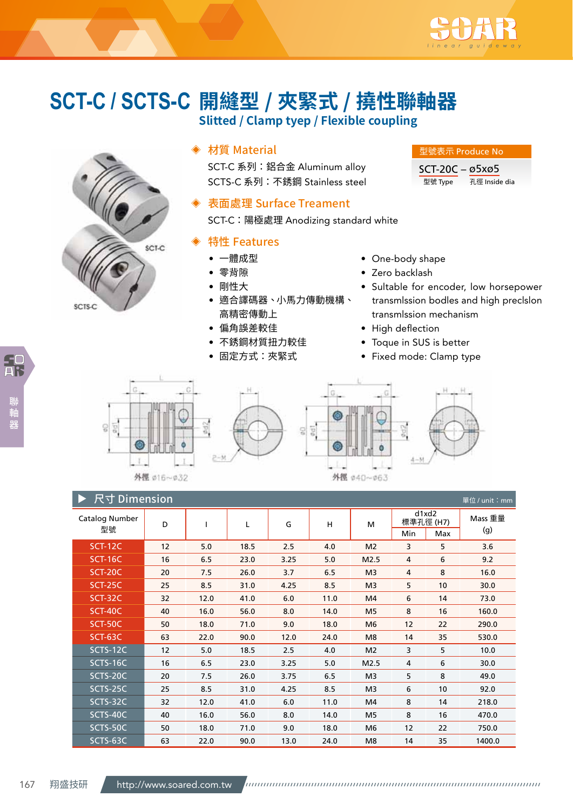

# **開縫型 / 夾緊式 / 撓性聯軸器 SCT-C / SCTS-CSlitted / Clamp tyep / Flexible coupling**



# ◈ 材質 Material

SCT-C 系列: 鋁合金 Aluminum alloy SCTS-C 系列:不銹鋼 Stainless steel

### 表面處理 Surface Treament

SCT-C:陽極處理 Anodizing standard white

### ◈ 特性 Features

- 一體成型
- 零背隙
- 剛性大
- 適合譯碼器、小馬力傳動機構、 高精密傳動上
- 偏角誤差較佳
- 不銹鋼材質扭力較佳
- 固定方式:夾緊式
- One-body shape
- Zero backlash
- Sultable for encoder, low horsepower transmlssion bodles and high preclslon transmlssion mechanism
- High deflection

外徑 040~063

- Toque in SUS is better
- Fixed mode: Clamp type





| 尺寸 Dimension<br>單位 / unit: mm |    |      |      |      |      |                |                           |     |                |  |  |
|-------------------------------|----|------|------|------|------|----------------|---------------------------|-----|----------------|--|--|
| Catalog Number<br>型號          | D  |      | Г    | G    | н    | M              | d1xd2<br>標準孔徑 (H7)<br>Min | Max | Mass 重量<br>(g) |  |  |
| <b>SCT-12C</b>                | 12 | 5.0  | 18.5 | 2.5  | 4.0  | M <sub>2</sub> | 3                         | 5   | 3.6            |  |  |
| <b>SCT-16C</b>                | 16 | 6.5  | 23.0 | 3.25 | 5.0  | M2.5           | 4                         | 6   | 9.2            |  |  |
| SCT-20C                       | 20 | 7.5  | 26.0 | 3.7  | 6.5  | M <sub>3</sub> | 4                         | 8   | 16.0           |  |  |
| <b>SCT-25C</b>                | 25 | 8.5  | 31.0 | 4.25 | 8.5  | M <sub>3</sub> | 5                         | 10  | 30.0           |  |  |
| <b>SCT-32C</b>                | 32 | 12.0 | 41.0 | 6.0  | 11.0 | M4             | 6                         | 14  | 73.0           |  |  |
| <b>SCT-40C</b>                | 40 | 16.0 | 56.0 | 8.0  | 14.0 | M <sub>5</sub> | 8                         | 16  | 160.0          |  |  |
| SCT-50C                       | 50 | 18.0 | 71.0 | 9.0  | 18.0 | M6             | 12                        | 22  | 290.0          |  |  |
| SCT-63C                       | 63 | 22.0 | 90.0 | 12.0 | 24.0 | M <sub>8</sub> | 14                        | 35  | 530.0          |  |  |
| SCTS-12C                      | 12 | 5.0  | 18.5 | 2.5  | 4.0  | M <sub>2</sub> | 3                         | 5   | 10.0           |  |  |
| SCTS-16C                      | 16 | 6.5  | 23.0 | 3.25 | 5.0  | M2.5           | 4                         | 6   | 30.0           |  |  |
| SCTS-20C                      | 20 | 7.5  | 26.0 | 3.75 | 6.5  | M <sub>3</sub> | 5                         | 8   | 49.0           |  |  |
| SCTS-25C                      | 25 | 8.5  | 31.0 | 4.25 | 8.5  | M <sub>3</sub> | 6                         | 10  | 92.0           |  |  |
| SCTS-32C                      | 32 | 12.0 | 41.0 | 6.0  | 11.0 | M4             | 8                         | 14  | 218.0          |  |  |
| SCTS-40C                      | 40 | 16.0 | 56.0 | 8.0  | 14.0 | M <sub>5</sub> | 8                         | 16  | 470.0          |  |  |
| SCTS-50C                      | 50 | 18.0 | 71.0 | 9.0  | 18.0 | M <sub>6</sub> | 12                        | 22  | 750.0          |  |  |
| SCTS-63C                      | 63 | 22.0 | 90.0 | 13.0 | 24.0 | M8             | 14                        | 35  | 1400.0         |  |  |

# 型號表示 Produce No

SCT-20C – ø5xø5 型號 Type 孔徑 Inside dia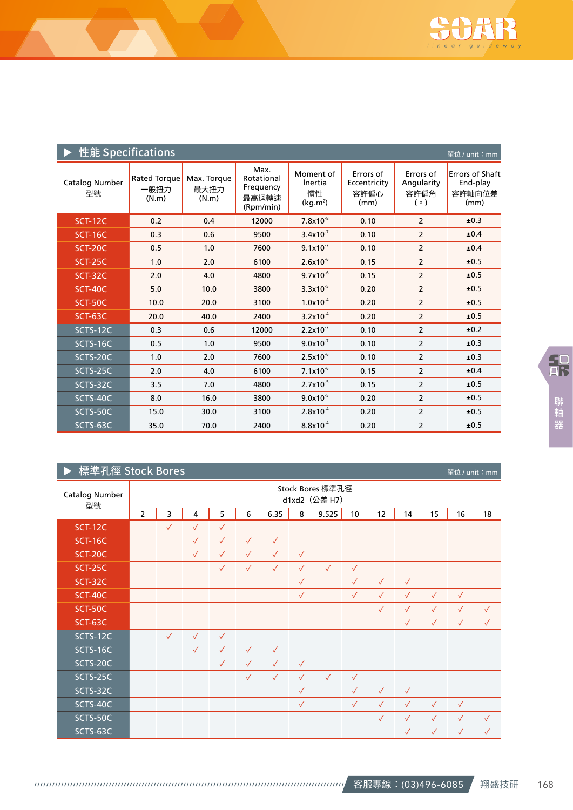

| 性能 Specifications    |                                      |                              |                                                       |                                                    |                                           |                                                | 單位 / unit:mm                                         |
|----------------------|--------------------------------------|------------------------------|-------------------------------------------------------|----------------------------------------------------|-------------------------------------------|------------------------------------------------|------------------------------------------------------|
| Catalog Number<br>型號 | <b>Rated Torque</b><br>一般扭力<br>(N.m) | Max. Torque<br>最大扭力<br>(N.m) | Max.<br>Rotational<br>Frequency<br>最高迴轉速<br>(Rpm/min) | Moment of<br>Inertia<br>慣性<br>(kg.m <sup>2</sup> ) | Errors of<br>Eccentricity<br>容許偏心<br>(mm) | Errors of<br>Angularity<br>容許偏角<br>$( \circ )$ | <b>Errors of Shaft</b><br>End-play<br>容許軸向位差<br>(mm) |
| <b>SCT-12C</b>       | 0.2                                  | 0.4                          | 12000                                                 | $7.8x10^{-8}$                                      | 0.10                                      | $\overline{2}$                                 | ±0.3                                                 |
| <b>SCT-16C</b>       | 0.3                                  | 0.6                          | 9500                                                  | $3.4x10^{-7}$                                      | 0.10                                      | $\overline{2}$                                 | ±0.4                                                 |
| SCT-20C              | 0.5                                  | 1.0                          | 7600                                                  | $9.1 \times 10^{-7}$                               | 0.10                                      | $\overline{2}$                                 | ±0.4                                                 |
| <b>SCT-25C</b>       | 1.0                                  | 2.0                          | 6100                                                  | $2.6x10^{-6}$                                      | 0.15                                      | $\overline{2}$                                 | ±0.5                                                 |
| SCT-32C              | 2.0                                  | 4.0                          | 4800                                                  | $9.7x10^{-6}$                                      | 0.15                                      | $\overline{2}$                                 | ±0.5                                                 |
| <b>SCT-40C</b>       | 5.0                                  | 10.0                         | 3800                                                  | $3.3x10^{-5}$                                      | 0.20                                      | $\overline{2}$                                 | ±0.5                                                 |
| SCT-50C              | 10.0                                 | 20.0                         | 3100                                                  | $1.0 \times 10^{-4}$                               | 0.20                                      | $\overline{2}$                                 | ±0.5                                                 |
| SCT-63C              | 20.0                                 | 40.0                         | 2400                                                  | $3.2x10^{-4}$                                      | 0.20                                      | $\overline{2}$                                 | ±0.5                                                 |
| SCTS-12C             | 0.3                                  | 0.6                          | 12000                                                 | $2.2 \times 10^{-7}$                               | 0.10                                      | $\overline{2}$                                 | ±0.2                                                 |
| SCTS-16C             | 0.5                                  | 1.0                          | 9500                                                  | $9.0x10^{-7}$                                      | 0.10                                      | $\overline{2}$                                 | ±0.3                                                 |
| SCTS-20C             | 1.0                                  | 2.0                          | 7600                                                  | $2.5x10^{-6}$                                      | 0.10                                      | $\overline{2}$                                 | ±0.3                                                 |
| SCTS-25C             | 2.0                                  | 4.0                          | 6100                                                  | $7.1x10^{-6}$                                      | 0.15                                      | $\overline{2}$                                 | ±0.4                                                 |
| SCTS-32C             | 3.5                                  | 7.0                          | 4800                                                  | $2.7x10^{-5}$                                      | 0.15                                      | $\overline{2}$                                 | ±0.5                                                 |
| SCTS-40C             | 8.0                                  | 16.0                         | 3800                                                  | $9.0x10^{-5}$                                      | 0.20                                      | $\overline{2}$                                 | ±0.5                                                 |
| SCTS-50C             | 15.0                                 | 30.0                         | 3100                                                  | $2.8x10^{-4}$                                      | 0.20                                      | $\overline{2}$                                 | ±0.5                                                 |
| SCTS-63C             | 35.0                                 | 70.0                         | 2400                                                  | $8.8x10^{-4}$                                      | 0.20                                      | 2                                              | ±0.5                                                 |

# **▶ 標準孔徑 Stock Bores**

| Catalog Number<br>型號 | Stock Bores 標準孔徑<br>d1xd2 (公差 H7) |              |              |              |              |              |              |              |              |              |              |              |              |              |  |
|----------------------|-----------------------------------|--------------|--------------|--------------|--------------|--------------|--------------|--------------|--------------|--------------|--------------|--------------|--------------|--------------|--|
|                      | $\overline{2}$                    | 3            | 4            | 5            | 6            | 6.35         | 8            | 9.525        | 10           | 12           | 14           | 15           | 16           | 18           |  |
| <b>SCT-12C</b>       |                                   | $\checkmark$ | $\checkmark$ | $\checkmark$ |              |              |              |              |              |              |              |              |              |              |  |
| <b>SCT-16C</b>       |                                   |              | $\checkmark$ | $\checkmark$ | $\checkmark$ | $\checkmark$ |              |              |              |              |              |              |              |              |  |
| <b>SCT-20C</b>       |                                   |              | $\checkmark$ | $\checkmark$ | $\checkmark$ | $\checkmark$ | $\checkmark$ |              |              |              |              |              |              |              |  |
| <b>SCT-25C</b>       |                                   |              |              | $\checkmark$ | $\checkmark$ | $\checkmark$ | $\checkmark$ | $\checkmark$ | $\checkmark$ |              |              |              |              |              |  |
| SCT-32C              |                                   |              |              |              |              |              | $\checkmark$ |              | $\checkmark$ | $\checkmark$ | $\checkmark$ |              |              |              |  |
| <b>SCT-40C</b>       |                                   |              |              |              |              |              | $\checkmark$ |              | $\checkmark$ | $\checkmark$ | $\checkmark$ | $\checkmark$ | $\checkmark$ |              |  |
| SCT-50C              |                                   |              |              |              |              |              |              |              |              | $\checkmark$ | $\checkmark$ | $\checkmark$ | $\checkmark$ | $\checkmark$ |  |
| SCT-63C              |                                   |              |              |              |              |              |              |              |              |              | $\checkmark$ | $\checkmark$ | $\checkmark$ | $\checkmark$ |  |
| SCTS-12C             |                                   | $\checkmark$ | $\checkmark$ | $\checkmark$ |              |              |              |              |              |              |              |              |              |              |  |
| SCTS-16C             |                                   |              | $\checkmark$ | $\checkmark$ | $\checkmark$ | $\checkmark$ |              |              |              |              |              |              |              |              |  |
| SCTS-20C             |                                   |              |              | $\checkmark$ | $\checkmark$ | $\checkmark$ | $\checkmark$ |              |              |              |              |              |              |              |  |
| SCTS-25C             |                                   |              |              |              | $\checkmark$ | $\checkmark$ | $\checkmark$ | $\checkmark$ | $\checkmark$ |              |              |              |              |              |  |
| SCTS-32C             |                                   |              |              |              |              |              | $\checkmark$ |              | $\checkmark$ | $\checkmark$ | $\checkmark$ |              |              |              |  |
| SCTS-40C             |                                   |              |              |              |              |              | $\checkmark$ |              | $\checkmark$ | $\checkmark$ | $\checkmark$ | $\sqrt{}$    | $\checkmark$ |              |  |
| SCTS-50C             |                                   |              |              |              |              |              |              |              |              | $\checkmark$ | $\checkmark$ | $\checkmark$ | $\checkmark$ | $\checkmark$ |  |
| SCTS-63C             |                                   |              |              |              |              |              |              |              |              |              | $\checkmark$ | $\checkmark$ | $\checkmark$ | $\checkmark$ |  |

單位 / unit:mm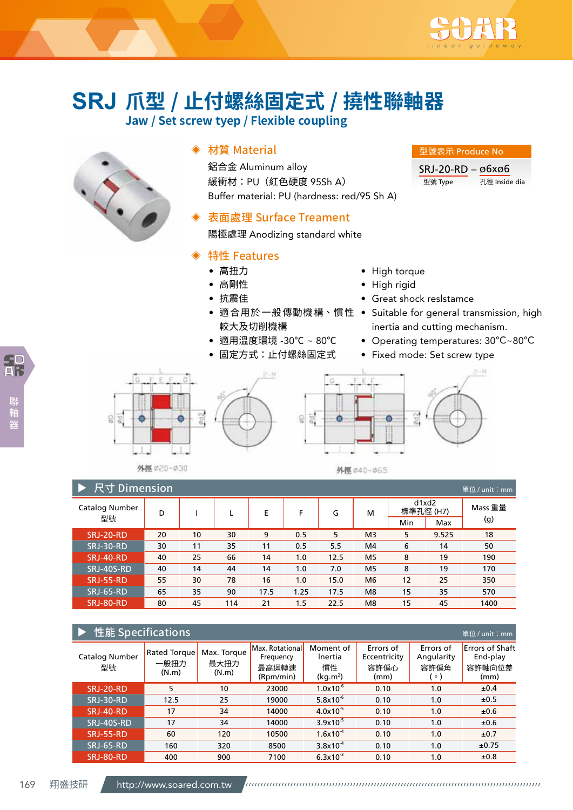

型號表示 Produce No SRJ-20-RD – ø6xø6

型號 Type 孔徑 Inside dia

# **爪型 / 止付螺絲固定式 / 撓性聯軸器 SRJ**

**Jaw / Set screw tyep / Flexible coupling**



# ◈ 材質 Material

鋁合金 Aluminum alloy 緩衝材:PU(紅色硬度 95Sh A) Buffer material: PU (hardness: red/95 Sh A)

# 表面處理 Surface Treament

陽極處理 Anodizing standard white

# ◈ 特性 Features

- 高扭力
- 高剛性
- 抗震佳
- 較大及切削機構
- 適用溫度環境 -30℃ ~ 80℃
- 固定方式:止付螺絲固定式



- High rigid
- Great shock reslstamce
- 適合用於一般傳動機構、慣性 Suitable for general transmission, high inertia and cutting mechanism.
	- Operating temperatures: 30℃~80℃
	- Fixed mode: Set screw type







外徴 の20~030

外得 040~065

| 尺寸 Dimension<br>單位/unit: mm |    |    |     |      |      |      |                |     |                    |         |  |  |  |
|-----------------------------|----|----|-----|------|------|------|----------------|-----|--------------------|---------|--|--|--|
| Catalog Number              | D  |    | L.  | Е    | F    | G    | м              |     | d1xd2<br>標準孔徑 (H7) | Mass 重量 |  |  |  |
| 型號                          |    |    |     |      |      |      |                | Min | Max                | (g)     |  |  |  |
| <b>SRJ-20-RD</b>            | 20 | 10 | 30  | 9    | 0.5  | 5    | M <sub>3</sub> | 5   | 9.525              | 18      |  |  |  |
| <b>SRJ-30-RD</b>            | 30 | 11 | 35  | 11   | 0.5  | 5.5  | M4             | 6   | 14                 | 50      |  |  |  |
| <b>SRJ-40-RD</b>            | 40 | 25 | 66  | 14   | 1.0  | 12.5 | M <sub>5</sub> | 8   | 19                 | 190     |  |  |  |
| SRJ-40S-RD                  | 40 | 14 | 44  | 14   | 1.0  | 7.0  | M <sub>5</sub> | 8   | 19                 | 170     |  |  |  |
| <b>SRJ-55-RD</b>            | 55 | 30 | 78  | 16   | 1.0  | 15.0 | M <sub>6</sub> | 12  | 25                 | 350     |  |  |  |
| <b>SRJ-65-RD</b>            | 65 | 35 | 90  | 17.5 | 1.25 | 17.5 | M <sub>8</sub> | 15  | 35                 | 570     |  |  |  |
| SRJ-80-RD                   | 80 | 45 | 114 | 21   | 1.5  | 22.5 | M <sub>8</sub> | 15  | 45                 | 1400    |  |  |  |

| 性能 Specifications<br>單位 / unit: mm |                                      |                              |                                                    |                                                    |                                           |                                              |                                                      |  |  |  |  |  |
|------------------------------------|--------------------------------------|------------------------------|----------------------------------------------------|----------------------------------------------------|-------------------------------------------|----------------------------------------------|------------------------------------------------------|--|--|--|--|--|
| Catalog Number<br>型號               | <b>Rated Torque</b><br>一般扭力<br>(N.m) | Max. Torque<br>最大扭力<br>(N.m) | Max. Rotational<br>Frequency<br>最高迴轉速<br>(Rpm/min) | Moment of<br>Inertia<br>慣性<br>(kq.m <sup>2</sup> ) | Errors of<br>Eccentricity<br>容許偏心<br>(mm) | Errors of<br>Angularity<br>容許偏角<br>$\circ$ ) | <b>Errors of Shaft</b><br>End-play<br>容許軸向位差<br>(mm) |  |  |  |  |  |
| <b>SRJ-20-RD</b>                   | 5                                    | 10                           | 23000                                              | $1.0x10^{-6}$                                      | 0.10                                      | 1.0                                          | ±0.4                                                 |  |  |  |  |  |
| <b>SRJ-30-RD</b>                   | 12.5                                 | 25                           | 19000                                              | $5.8x10^{-6}$                                      | 0.10                                      | 1.0                                          | ±0.5                                                 |  |  |  |  |  |
| <b>SRJ-40-RD</b>                   | 17                                   | 34                           | 14000                                              | $4.0x10^{-5}$                                      | 0.10                                      | 1.0                                          | ±0.6                                                 |  |  |  |  |  |
| SRJ-40S-RD                         | 17                                   | 34                           | 14000                                              | $3.9x10^{-5}$                                      | 0.10                                      | 1.0                                          | ±0.6                                                 |  |  |  |  |  |
| <b>SRJ-55-RD</b>                   | 60                                   | 120                          | 10500                                              | $1.6x10^{-4}$                                      | 0.10                                      | 1.0                                          | ±0.7                                                 |  |  |  |  |  |
| <b>SRJ-65-RD</b>                   | 160                                  | 320                          | 8500                                               | $3.8x10^{-4}$                                      | 0.10                                      | 1.0                                          | ±0.75                                                |  |  |  |  |  |
| <b>SRJ-80-RD</b>                   | 400                                  | 900                          | 7100                                               | $6.3x10^{-3}$                                      | 0.10                                      | 1.0                                          | ±0.8                                                 |  |  |  |  |  |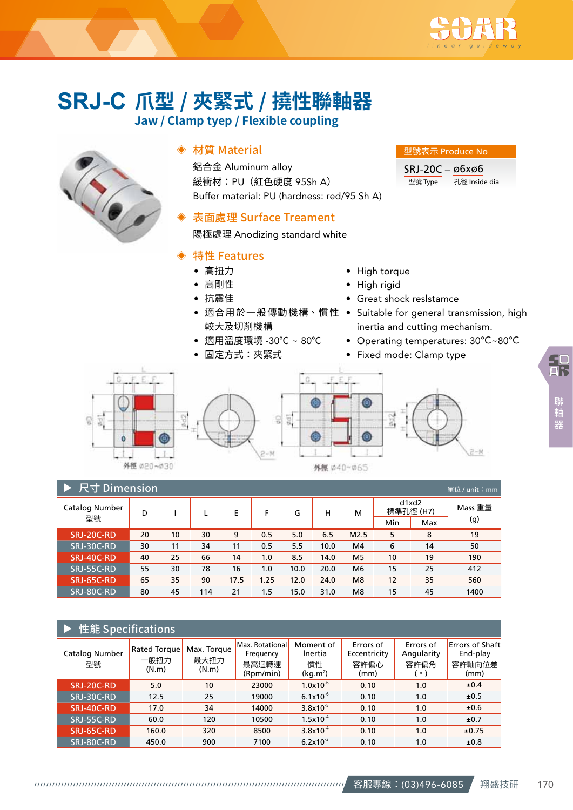

# **爪型 / 夾緊式 / 撓性聯軸器 SRJ-C Jaw / Clamp tyep / Flexible coupling**



## ◈ 材質 Material

鋁合金 Aluminum alloy 緩衝材:PU(紅色硬度 95Sh A) Buffer material: PU (hardness: red/95 Sh A)

# 表面處理 Surface Treament

陽極處理 Anodizing standard white

### ◈ 特性 Features

- 高扭力
- 高剛性
- 抗震佳
- 較大及切削機構
- 適用溫度環境 -30℃ ~ 80℃
- 固定方式:夾緊式
- High torque
- High rigid
- Great shock reslstamce
- 適合用於一般傳動機構、慣性 Suitable for general transmission, high inertia and cutting mechanism.

型號表示 Produce No SRJ-20C – ø6xø6

型號 Type 孔徑 Inside dia

• Operating temperatures: 30℃~80℃

 $2 - M$ 

• Fixed mode: Clamp type





ALCOHOL: A 2010 CALCULAR

|                             |    |    |     |      | ALCOHOL: ALCOHOL: ALCOHOL: |      |      |                |     |                    |         |  |  |
|-----------------------------|----|----|-----|------|----------------------------|------|------|----------------|-----|--------------------|---------|--|--|
| 尺寸 Dimension<br>單位/unit: mm |    |    |     |      |                            |      |      |                |     |                    |         |  |  |
| Catalog Number              | D  |    |     | E    | F                          | G    | н    | м              |     | d1xd2<br>標準孔徑 (H7) | Mass 重量 |  |  |
| 型號                          |    |    |     |      |                            |      |      |                | Min | Max                | (g)     |  |  |
| SRJ-20C-RD                  | 20 | 10 | 30  | 9    | 0.5                        | 5.0  | 6.5  | M2.5           | 5   | 8                  | 19      |  |  |
| SRJ-30C-RD                  | 30 | 11 | 34  | 11   | 0.5                        | 5.5  | 10.0 | M4             | 6   | 14                 | 50      |  |  |
| SRJ-40C-RD                  | 40 | 25 | 66  | 14   | 1.0                        | 8.5  | 14.0 | M <sub>5</sub> | 10  | 19                 | 190     |  |  |
| SRJ-55C-RD                  | 55 | 30 | 78  | 16   | 1.0                        | 10.0 | 20.0 | M <sub>6</sub> | 15  | 25                 | 412     |  |  |
| SRJ-65C-RD                  | 65 | 35 | 90  | 17.5 | 1.25                       | 12.0 | 24.0 | M <sub>8</sub> | 12  | 35                 | 560     |  |  |
| SRJ-80C-RD                  | 80 | 45 | 114 | 21   | 1.5                        | 15.0 | 31.0 | M <sub>8</sub> | 15  | 45                 | 1400    |  |  |

 $\frac{1}{2}$ 

#### 性能 Specifications Catalog Number 型號 Rated Torque 一般扭力 (N.m) Max. Torque 最大扭力 (N.m) Max. Rotational **Frequency** 最高迴轉速 (Rpm/min) Moment of lnertia 慣性  $(kg.m<sup>2</sup>)$ Errors of Eccentricity 容許偏心 (mm) Errors of Angularity 容許偏角 (。) Errors of Shaft End-play 容許軸向位差 (mm)  $SRI-20C-RD$  5.0 10 23000 1.0x10<sup>-6</sup> 0.10 1.0 ±0.4  $SRJ-30C-RD$  12.5 25 19000  $6.1x10^{-6}$  0.10 1.0  $\pm 0.5$  $SRJ-40C-RD$  17.0 34 14000 3.8x10<sup>-5</sup> 0.10 1.0 ±0.6 SRJ-55C-RD 60.0 120 10500 1.5x10<sup>-4</sup> 0.10 1.0 ±0.7  $\textsf{SRJ-65C-RD} \textcolor{white}{0}\textcolor{white}{0.33cm} \textbf{160.0} \textcolor{white}{0.33cm} \textbf{3.800} \textcolor{white}{0.33cm} \textbf{3.8x10}^4 \textcolor{white}{0.33cm} \textbf{0.10} \textcolor{white}{0.33cm} \textbf{1.0} \textcolor{white}{0.33cm} \textbf{1.0} \textcolor{white}{0.33cm} \textbf{1.0} \textcolor{white}{0.33cm} \textbf{2.0} \textcolor{white}{0.33cm} \textbf{2.0} \textcolor{white}{0.33$  $SRJ-80C-RD$  450.0 900 7100 6.2x10<sup>-3</sup> 0.10 1.0 ±0.8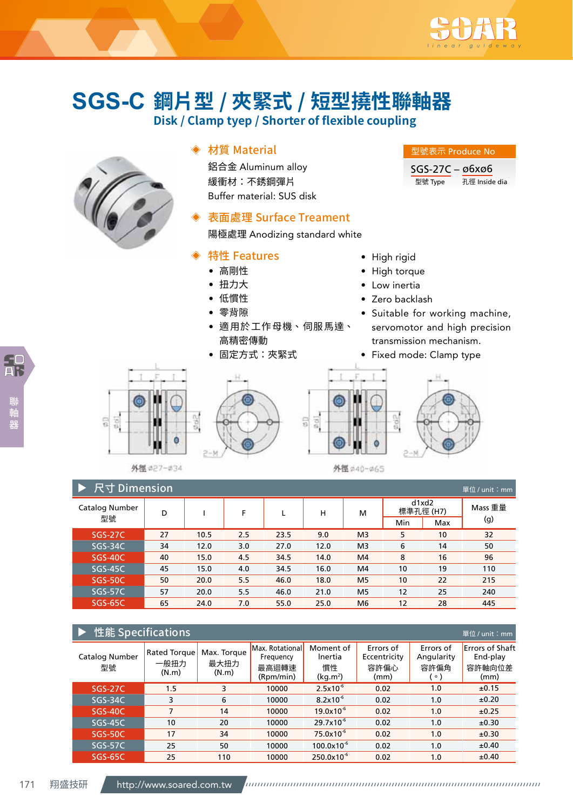

型號表示 Produce No SGS-27C – ø6xø6

型號 Type 孔徑 Inside dia

# **鋼片型 / 夾緊式 / 短型撓性聯軸器 SGS-C**

**Disk / Clamp tyep / Shorter of flexible coupling**



덞  $\frac{1}{9}$  ◈ 材質 Material

鋁合金 Aluminum alloy 緩衝材:不銹鋼彈片 Buffer material: SUS disk

# 表面處理 Surface Treament

陽極處理 Anodizing standard white

# ◈ 特性 Features

- 高剛性
- 扭力大
- 低慣性
- 零背隙
- 適用於工作母機、伺服馬達、 高精密傳動
- 固定方式:夾緊式



- High torque
- Low inertia
- Zero backlash
- Suitable for working machine, servomotor and high precision transmission mechanism.
- Fixed mode: Clamp type







 $902$ 

外徑 #40~#65

| 尺寸 Dimension,<br>單位 / unit:mm |    |      |     |      |      |                |     |                    |         |  |  |  |  |
|-------------------------------|----|------|-----|------|------|----------------|-----|--------------------|---------|--|--|--|--|
| Catalog Number<br>型號          | D  |      | F   | L    | н    | м              |     | d1xd2<br>標準孔徑 (H7) | Mass 重量 |  |  |  |  |
|                               |    |      |     |      |      |                | Min | Max                | (g)     |  |  |  |  |
| <b>SGS-27C</b>                | 27 | 10.5 | 2.5 | 23.5 | 9.0  | M <sub>3</sub> | 5   | 10                 | 32      |  |  |  |  |
| $SGS-34C$                     | 34 | 12.0 | 3.0 | 27.0 | 12.0 | M <sub>3</sub> | 6   | 14                 | 50      |  |  |  |  |
| <b>SGS-40C</b>                | 40 | 15.0 | 4.5 | 34.5 | 14.0 | M4             | 8   | 16                 | 96      |  |  |  |  |
| $SGS-45C$                     | 45 | 15.0 | 4.0 | 34.5 | 16.0 | M4             | 10  | 19                 | 110     |  |  |  |  |
| <b>SGS-50C</b>                | 50 | 20.0 | 5.5 | 46.0 | 18.0 | M <sub>5</sub> | 10  | 22                 | 215     |  |  |  |  |
| $SGS-57C$                     | 57 | 20.0 | 5.5 | 46.0 | 21.0 | M <sub>5</sub> | 12  | 25                 | 240     |  |  |  |  |
| <b>SGS-65C</b>                | 65 | 24.0 | 7.0 | 55.0 | 25.0 | M <sub>6</sub> | 12  | 28                 | 445     |  |  |  |  |

믋

| 性能 Specifications<br>單位 / unit:mm |                                      |                              |                                                    |                                                    |                                           |                                              |                                                      |  |  |  |  |  |  |
|-----------------------------------|--------------------------------------|------------------------------|----------------------------------------------------|----------------------------------------------------|-------------------------------------------|----------------------------------------------|------------------------------------------------------|--|--|--|--|--|--|
| <b>Catalog Number</b><br>型號       | <b>Rated Torque</b><br>一般扭力<br>(N.m) | Max. Torque<br>最大扭力<br>(N.m) | Max. Rotational<br>Frequency<br>最高迴轉速<br>(Rpm/min) | Moment of<br>Inertia<br>慣性<br>(kq.m <sup>2</sup> ) | Errors of<br>Eccentricity<br>容許偏心<br>(mm) | Errors of<br>Angularity<br>容許偏角<br>$\circ$ ) | <b>Errors of Shaft</b><br>End-play<br>容許軸向位差<br>(mm) |  |  |  |  |  |  |
| <b>SGS-27C</b>                    | 1.5                                  | 3                            | 10000                                              | $2.5x10^{-6}$                                      | 0.02                                      | 1.0                                          | ±0.15                                                |  |  |  |  |  |  |
| SGS-34C                           | 3                                    | 6                            | 10000                                              | $8.2 \times 10^{-6}$                               | 0.02                                      | 1.0                                          | ±0.20                                                |  |  |  |  |  |  |
| <b>SGS-40C</b>                    | 7                                    | 14                           | 10000                                              | $19.0x10^{-6}$                                     | 0.02                                      | 1.0                                          | ±0.25                                                |  |  |  |  |  |  |
| $SGS-45C$                         | 10                                   | 20                           | 10000                                              | $29.7 \times 10^{-6}$                              | 0.02                                      | 1.0                                          | ±0.30                                                |  |  |  |  |  |  |
| <b>SGS-50C</b>                    | 17                                   | 34                           | 10000                                              | $75.0x10^{-6}$                                     | 0.02                                      | 1.0                                          | ±0.30                                                |  |  |  |  |  |  |
| $SGS-57C$                         | 25                                   | 50                           | 10000                                              | $100.0x10^{-6}$                                    | 0.02                                      | 1.0                                          | ±0.40                                                |  |  |  |  |  |  |
| <b>SGS-65C</b>                    | 25                                   | 110                          | 10000                                              | $250.0x10^{-6}$                                    | 0.02                                      | 1.0                                          | ±0.40                                                |  |  |  |  |  |  |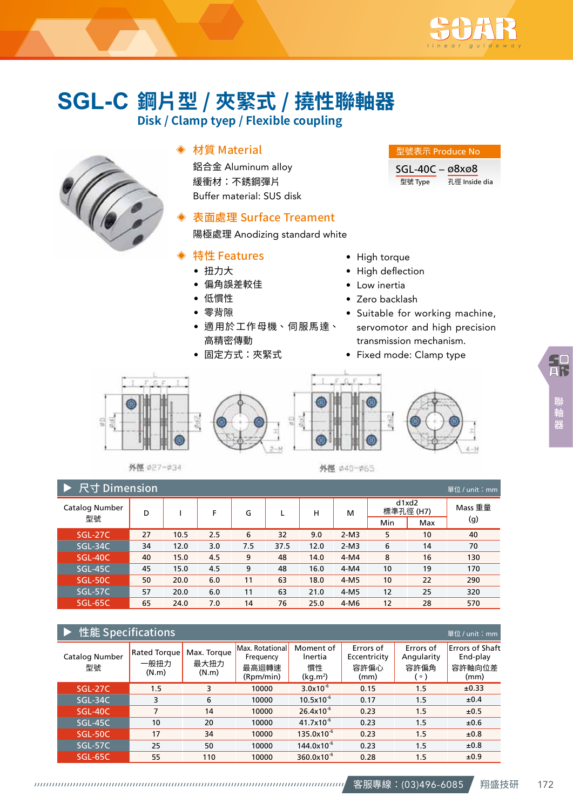

# **鋼片型 / 夾緊式 / 撓性聯軸器 SGL-C**

**Disk / Clamp tyep / Flexible coupling**



# ◈ 材質 Material

鋁合金 Aluminum alloy 緩衝材:不銹鋼彈片 Buffer material: SUS disk

# 表面處理 Surface Treament

陽極處理 Anodizing standard white

## ◈ 特性 Features

- 扭力大
- 偏角誤差較佳
- 低慣性
- 零背隙
- 適用於工作母機、伺服馬達、 高精密傳動
- 固定方式:夾緊式

# • High torque

- High deflection
- Low inertia
- Zero backlash
- Suitable for working machine, servomotor and high precision transmission mechanism.

型號表示 Produce No SGL-40C – ø8xø8

型號 Type 孔徑 Inside dia

• Fixed mode: Clamp type



外徑 #27~#34

外徑 040-065

| 尺寸 Dimension<br>單位/unit: mm |    |      |     |     |      |      |                         |     |     |         |  |
|-----------------------------|----|------|-----|-----|------|------|-------------------------|-----|-----|---------|--|
| Catalog Number              | D  |      | F   | G   |      | н    | d1xd2<br>標準孔徑 (H7)<br>м |     |     | Mass 重量 |  |
| 型號                          |    |      |     |     |      |      |                         | Min | Max | (g)     |  |
| <b>SGL-27C</b>              | 27 | 10.5 | 2.5 | 6   | 32   | 9.0  | $2-M3$                  | 5   | 10  | 40      |  |
| SGL-34C                     | 34 | 12.0 | 3.0 | 7.5 | 37.5 | 12.0 | $2-M3$                  | 6   | 14  | 70      |  |
| SGL-40C                     | 40 | 15.0 | 4.5 | 9   | 48   | 14.0 | $4-M4$                  | 8   | 16  | 130     |  |
| $SGL-45C$                   | 45 | 15.0 | 4.5 | 9   | 48   | 16.0 | $4-M4$                  | 10  | 19  | 170     |  |
| <b>SGL-50C</b>              | 50 | 20.0 | 6.0 | 11  | 63   | 18.0 | $4-M5$                  | 10  | 22  | 290     |  |
| SGL-57C                     | 57 | 20.0 | 6.0 | 11  | 63   | 21.0 | $4-M5$                  | 12  | 25  | 320     |  |
| <b>SGL-65C</b>              | 65 | 24.0 | 7.0 | 14  | 76   | 25.0 | $4-M6$                  | 12  | 28  | 570     |  |

# **ト**性能 Specifications

| $1 + 70$             |                                      |                              |                                                    |                                          |                                           |                                            | $-1$ . The set of $\sim$                             |
|----------------------|--------------------------------------|------------------------------|----------------------------------------------------|------------------------------------------|-------------------------------------------|--------------------------------------------|------------------------------------------------------|
| Catalog Number<br>型號 | <b>Rated Torque</b><br>一般扭力<br>(N.m) | Max. Torque<br>最大扭力<br>(N.m) | Max. Rotational<br>Frequency<br>最高迴轉速<br>(Rpm/min) | Moment of<br>Inertia<br>慣性<br>$(kg.m^2)$ | Errors of<br>Eccentricity<br>容許偏心<br>(mm) | Errors of<br>Angularity<br>容許偏角<br>$\circ$ | <b>Errors of Shaft</b><br>End-play<br>容許軸向位差<br>(mm) |
| <b>SGL-27C</b>       | 1.5                                  | 3                            | 10000                                              | $3.0x10^{-6}$                            | 0.15                                      | 1.5                                        | ±0.33                                                |
| SGL-34C              | 3                                    | 6                            | 10000                                              | $10.5x10^{-6}$                           | 0.17                                      | 1.5                                        | ±0.4                                                 |
| SGL-40C              | 7                                    | 14                           | 10000                                              | $26.4x10^{-6}$                           | 0.23                                      | 1.5                                        | ±0.5                                                 |
| SGL-45C              | 10                                   | 20                           | 10000                                              | $41.7x10^{-6}$                           | 0.23                                      | 1.5                                        | ±0.6                                                 |
| SGL-50C              | 17                                   | 34                           | 10000                                              | $135.0x10^{-6}$                          | 0.23                                      | 1.5                                        | ±0.8                                                 |
| SGL-57C              | 25                                   | 50                           | 10000                                              | $144.0x10^{-6}$                          | 0.23                                      | 1.5                                        | ±0.8                                                 |
| <b>SGL-65C</b>       | 55                                   | 110                          | 10000                                              | $360.0x10^{-6}$                          | 0.28                                      | 1.5                                        | ±0.9                                                 |

ー<br><sub>器位 / unit:mn</sub>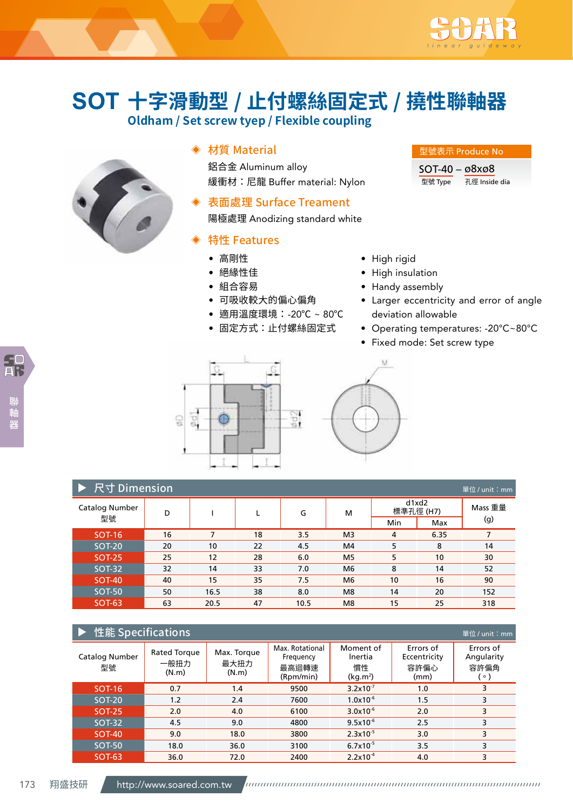

# **十字滑動型 / 止付螺絲固定式 / 撓性聯軸器 SOT**

**Oldham / Set screw tyep / Flexible coupling**



# ◈ 材質 Material

鋁合金 Aluminum alloy 緩衝材:尼龍 Buffer material: Nylon

# 表面處理 Surface Treament

陽極處理 Anodizing standard white

# ◈ 特性 Features

- 高剛性
- 絕緣性佳
- 組合容易
- 可吸收較大的偏心偏角
- 適用溫度環境:-20℃ ~ 80℃
- 固定方式:止付螺絲固定式

#### 型號表示 Produce No

SOT-40 – ø8xø8 型號 Type 孔徑 Inside dia

• High rigid

V.

- High insulation
- Handy assembly
- Larger eccentricity and error of angle deviation allowable
- Operating temperatures: -20℃~80℃
- Fixed mode: Set screw type



| ▶ 尺寸 Dimension<br>單位 / unit:mm |               |    |      |    |      |                    |     |         |     |  |
|--------------------------------|---------------|----|------|----|------|--------------------|-----|---------|-----|--|
| Catalog Number                 | D             |    |      | G  | м    | d1xd2<br>標準孔徑 (H7) |     | Mass 重量 |     |  |
|                                | 型號            |    |      |    |      |                    | Min | Max     | (g) |  |
|                                | <b>SOT-16</b> | 16 | 7    | 18 | 3.5  | M <sub>3</sub>     | 4   | 6.35    | 7   |  |
|                                | <b>SOT-20</b> | 20 | 10   | 22 | 4.5  | M4                 | 5   | 8       | 14  |  |
|                                | <b>SOT-25</b> | 25 | 12   | 28 | 6.0  | M <sub>5</sub>     | 5   | 10      | 30  |  |
|                                | <b>SOT-32</b> | 32 | 14   | 33 | 7.0  | M <sub>6</sub>     | 8   | 14      | 52  |  |
|                                | <b>SOT-40</b> | 40 | 15   | 35 | 7.5  | M <sub>6</sub>     | 10  | 16      | 90  |  |
|                                | <b>SOT-50</b> | 50 | 16.5 | 38 | 8.0  | M <sub>8</sub>     | 14  | 20      | 152 |  |
|                                | <b>SOT-63</b> | 63 | 20.5 | 47 | 10.5 | M <sub>8</sub>     | 15  | 25      | 318 |  |

| 性能 Specifications<br>單位 / unit: mm |                               |                              |                                                    |                                                    |                                           |                                            |  |  |  |  |  |  |
|------------------------------------|-------------------------------|------------------------------|----------------------------------------------------|----------------------------------------------------|-------------------------------------------|--------------------------------------------|--|--|--|--|--|--|
| Catalog Number<br>型號               | Rated Torque<br>一般扭力<br>(N.m) | Max. Torque<br>最大扭力<br>(N.m) | Max. Rotational<br>Frequency<br>最高迴轉速<br>(Rpm/min) | Moment of<br>Inertia<br>慣性<br>(kq.m <sup>2</sup> ) | Errors of<br>Eccentricity<br>容許偏心<br>(mm) | Errors of<br>Angularity<br>容許偏角<br>$\circ$ |  |  |  |  |  |  |
| <b>SOT-16</b>                      | 0.7                           | 1.4                          | 9500                                               | $3.2 \times 10^{-7}$                               | 1.0                                       | 3                                          |  |  |  |  |  |  |
| <b>SOT-20</b>                      | 1.2                           | 2.4                          | 7600                                               | $1.0x10^{-6}$                                      | 1.5                                       | 3                                          |  |  |  |  |  |  |
| <b>SOT-25</b>                      | 2.0                           | 4.0                          | 6100                                               | $3.0x10^{-6}$                                      | 2.0                                       | 3                                          |  |  |  |  |  |  |
| <b>SOT-32</b>                      | 4.5                           | 9.0                          | 4800                                               | $9.5x10^{-6}$                                      | 2.5                                       | 3                                          |  |  |  |  |  |  |
| <b>SOT-40</b>                      | 9.0                           | 18.0                         | 3800                                               | $2.3x10^{-5}$                                      | 3.0                                       | 3                                          |  |  |  |  |  |  |
| <b>SOT-50</b>                      | 18.0                          | 36.0                         | 3100                                               | $6.7x10^{-5}$                                      | 3.5                                       | 3                                          |  |  |  |  |  |  |
| SOT-63                             | 36.0                          | 72.0                         | 2400                                               | $2.2 \times 10^{-4}$                               | 4.0                                       | 3                                          |  |  |  |  |  |  |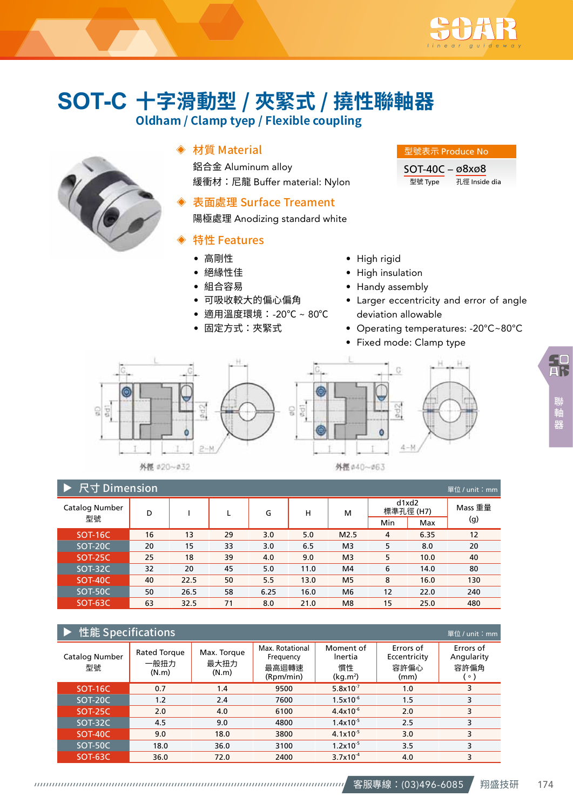

# **十字滑動型 / 夾緊式 / 撓性聯軸器 SOT-C**

**Oldham / Clamp tyep / Flexible coupling**



# ◈ 材質 Material

鋁合金 Aluminum alloy 緩衝材:尼龍 Buffer material: Nylon

# 表面處理 Surface Treament

陽極處理 Anodizing standard white

# ◈ 特性 Features

- 高剛性
- 絕緣性佳
- 組合容易
- 可吸收較大的偏心偏角
- 適用溫度環境:-20℃ ~ 80℃
- 固定方式:夾緊式

### 型號表示 Produce No

SOT-40C – ø8xø8 型號 Type 孔徑 Inside dia

- High rigid
- High insulation
- Handy assembly
- Larger eccentricity and error of angle deviation allowable
- Operating temperatures: -20℃~80℃
- Fixed mode: Clamp type



外徑 #20~#32



外徑 #40~#63

| 尺寸 Dimension<br>單位 / unit: mm |    |      |    |      |      |                |                    |      |         |  |  |
|-------------------------------|----|------|----|------|------|----------------|--------------------|------|---------|--|--|
| Catalog Number                | D  |      | L  | G    | н    | м              | d1xd2<br>標準孔徑 (H7) |      | Mass 重量 |  |  |
| 型號                            |    |      |    |      |      |                | Min                | Max  | (g)     |  |  |
| <b>SOT-16C</b>                | 16 | 13   | 29 | 3.0  | 5.0  | M2.5           | 4                  | 6.35 | 12      |  |  |
| SOT-20C                       | 20 | 15   | 33 | 3.0  | 6.5  | M <sub>3</sub> | 5                  | 8.0  | 20      |  |  |
| <b>SOT-25C</b>                | 25 | 18   | 39 | 4.0  | 9.0  | M <sub>3</sub> | 5                  | 10.0 | 40      |  |  |
| SOT-32C                       | 32 | 20   | 45 | 5.0  | 11.0 | M4             | 6                  | 14.0 | 80      |  |  |
| <b>SOT-40C</b>                | 40 | 22.5 | 50 | 5.5  | 13.0 | M <sub>5</sub> | 8                  | 16.0 | 130     |  |  |
| SOT-50C                       | 50 | 26.5 | 58 | 6.25 | 16.0 | M <sub>6</sub> | 12                 | 22.0 | 240     |  |  |
| <b>SOT-63C</b>                | 63 | 32.5 | 71 | 8.0  | 21.0 | M <sub>8</sub> | 15                 | 25.0 | 480     |  |  |

| 性能 Specificat <u>ions</u><br>單位 / unit:mm |                               |                              |                                                    |                                                    |                                           |                                            |  |  |  |  |  |
|-------------------------------------------|-------------------------------|------------------------------|----------------------------------------------------|----------------------------------------------------|-------------------------------------------|--------------------------------------------|--|--|--|--|--|
| Catalog Number<br>型號                      | Rated Torque<br>一般扭力<br>(N.m) | Max. Torque<br>最大扭力<br>(N.m) | Max. Rotational<br>Frequency<br>最高迴轉速<br>(Rpm/min) | Moment of<br>Inertia<br>慣性<br>(kq.m <sup>2</sup> ) | Errors of<br>Eccentricity<br>容許偏心<br>(mm) | Errors of<br>Angularity<br>容許偏角<br>$\circ$ |  |  |  |  |  |
| <b>SOT-16C</b>                            | 0.7                           | 1.4                          | 9500                                               | $5.8 \times 10^{-7}$                               | 1.0                                       | 3                                          |  |  |  |  |  |
| SOT-20C                                   | 1.2                           | 2.4                          | 7600                                               | $1.5x10^{-6}$                                      | 1.5                                       | 3                                          |  |  |  |  |  |
| <b>SOT-25C</b>                            | 2.0                           | 4.0                          | 6100                                               | $4.4x10^{-6}$                                      | 2.0                                       | 3                                          |  |  |  |  |  |
| SOT-32C                                   | 4.5                           | 9.0                          | 4800                                               | $1.4x10^{-5}$                                      | 2.5                                       | 3                                          |  |  |  |  |  |
| <b>SOT-40C</b>                            | 9.0                           | 18.0                         | 3800                                               | $4.1x10^{-5}$                                      | 3.0                                       | 3                                          |  |  |  |  |  |
| SOT-50C                                   | 18.0                          | 36.0                         | 3100                                               | $1.2x10^{-5}$                                      | 3.5                                       | 3                                          |  |  |  |  |  |
| SOT-63C                                   | 36.0                          | 72.0                         | 2400                                               | $3.7x10^{-4}$                                      | 4.0                                       | 3                                          |  |  |  |  |  |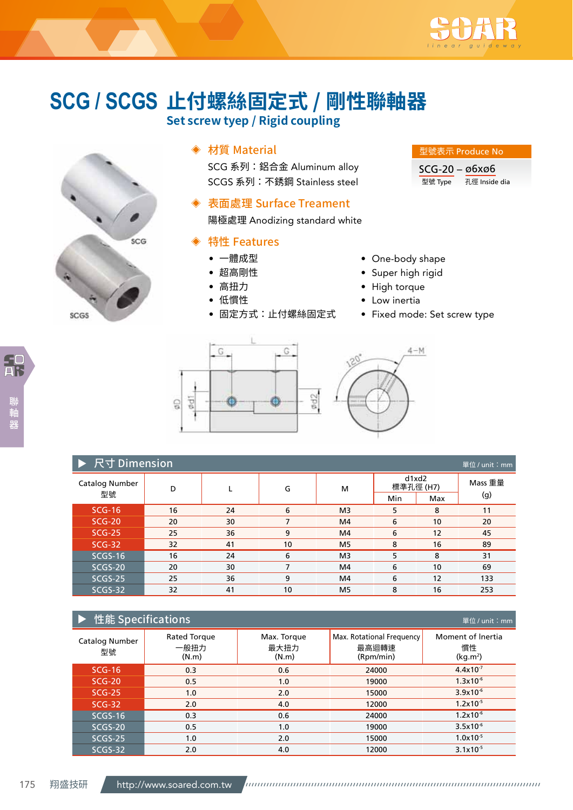

# **止付螺絲固定式 / 剛性聯軸器 SCG / SCGS**

**Set screw tyep / Rigid coupling**



# ◈ 材質 Material

SCG 系列: 鋁合金 Aluminum alloy SCGS 系列:不銹鋼 Stainless steel

### ◈ 表面處理 Surface Treament

陽極處理 Anodizing standard white

# ◈ 特性 Features

- 一體成型
- 超高剛性
- 高扭力
- 低慣性
- 固定方式:止付螺絲固定式

#### 型號表示 Produce No

SCG-20 – ø6xø6 型號 Type 孔徑 Inside dia

• One-body shape

- Super high rigid
- High torque
- Low inertia
- Fixed mode: Set screw type



|                      | ▶ 尺寸 Dimension<br>單位/unit: mm |    |    |                |                    |     |         |  |  |  |  |  |
|----------------------|-------------------------------|----|----|----------------|--------------------|-----|---------|--|--|--|--|--|
| Catalog Number<br>型號 | D                             |    | G  | м              | d1xd2<br>標準孔徑 (H7) |     | Mass 重量 |  |  |  |  |  |
|                      |                               |    |    |                | Min                | Max | (g)     |  |  |  |  |  |
| $SCG-16$             | 16                            | 24 | 6  | M <sub>3</sub> | 5.                 | 8   | 11      |  |  |  |  |  |
| $SCG-20$             | 20                            | 30 | 7  | M4             | 6                  | 10  | 20      |  |  |  |  |  |
| $SCG-25$             | 25                            | 36 | 9  | M4             | 6                  | 12  | 45      |  |  |  |  |  |
| $SCG-32$             | 32                            | 41 | 10 | M <sub>5</sub> | 8                  | 16  | 89      |  |  |  |  |  |
| $SCGS-16$            | 16                            | 24 | 6  | M <sub>3</sub> | 5.                 | 8   | 31      |  |  |  |  |  |
| SCGS-20              | 20                            | 30 | 7  | M4             | 6                  | 10  | 69      |  |  |  |  |  |
| SCGS-25              | 25                            | 36 | 9  | M4             | 6                  | 12  | 133     |  |  |  |  |  |
| SCGS-32              | 32                            | 41 | 10 | M <sub>5</sub> | 8                  | 16  | 253     |  |  |  |  |  |

| 性能 Specifications<br>單位 / unit: mm |                                      |                              |                                                 |                                                 |  |  |  |  |  |  |
|------------------------------------|--------------------------------------|------------------------------|-------------------------------------------------|-------------------------------------------------|--|--|--|--|--|--|
| Catalog Number<br>型號               | <b>Rated Torque</b><br>一般扭力<br>(N.m) | Max. Torque<br>最大扭力<br>(N.m) | Max. Rotational Frequency<br>最高迴轉速<br>(Rpm/min) | Moment of Inertia<br>慣性<br>(kq.m <sup>2</sup> ) |  |  |  |  |  |  |
| $SCG-16$                           | 0.3                                  | 0.6                          | 24000                                           | $4.4 \times 10^{-7}$                            |  |  |  |  |  |  |
| $SCG-20$                           | 0.5                                  | 1.0                          | 19000                                           | $1.3x10^{-6}$                                   |  |  |  |  |  |  |
| $SCG-25$                           | 1.0                                  | 2.0                          | 15000                                           | $3.9x10^{-6}$                                   |  |  |  |  |  |  |
| $SCG-32$                           | 2.0                                  | 4.0                          | 12000                                           | $1.2 \times 10^{-5}$                            |  |  |  |  |  |  |
| $SCGS-16$                          | 0.3                                  | 0.6                          | 24000                                           | $1.2x10^{-6}$                                   |  |  |  |  |  |  |
| SCGS-20                            | 0.5                                  | 1.0                          | 19000                                           | $3.5x10^{-6}$                                   |  |  |  |  |  |  |
| SCGS-25                            | 1.0                                  | 2.0                          | 15000                                           | $1.0x10^{-5}$                                   |  |  |  |  |  |  |
| SCGS-32                            | 2.0                                  | 4.0                          | 12000                                           | $3.1x10^{-5}$                                   |  |  |  |  |  |  |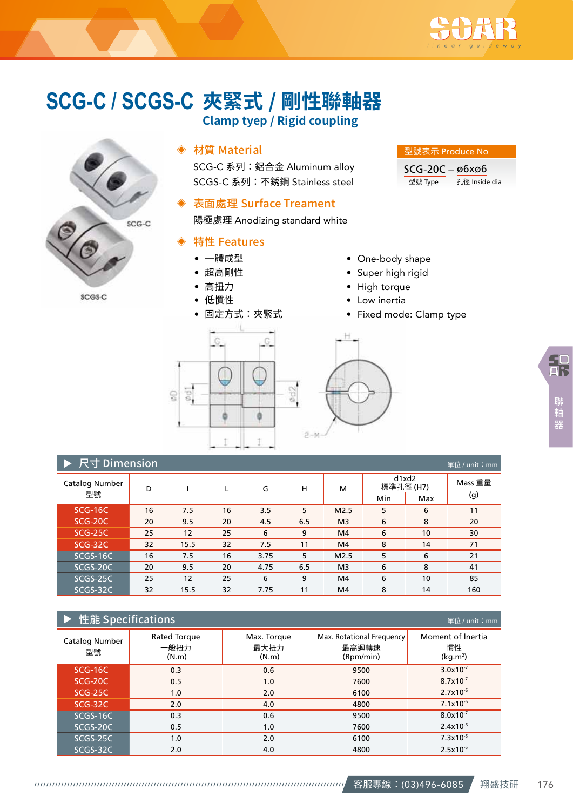

# **夾緊式 / 剛性聯軸器 SCG-C / SCGS-CClamp tyep / Rigid coupling**



SCGS-C

# ◈ 材質 Material

SCG-C 系列: 鋁合金 Aluminum alloy SCGS-C 系列:不銹鋼 Stainless steel

## ◈ 表面處理 Surface Treament

陽極處理 Anodizing standard white

### ◈ 特性 Features

- 一體成型
- 超高剛性
- 高扭力
- 低慣性

型號表示 Produce No SCG-20C – ø6xø6

型號 Type 孔徑 Inside dia

### • One-body shape

- Super high rigid
- High torque
- Low inertia
- Fixed mode: Clamp type



|                |                             |      | こうききつつ |      |     |                |                    |     |         |  |  |  |
|----------------|-----------------------------|------|--------|------|-----|----------------|--------------------|-----|---------|--|--|--|
|                | 尺寸 Dimension<br>單位/unit: mm |      |        |      |     |                |                    |     |         |  |  |  |
| Catalog Number | D                           |      | L      | G    | н   | м              | d1xd2<br>標準孔徑 (H7) |     | Mass 重量 |  |  |  |
| 型號             |                             |      |        |      |     |                | Min                | Max | (g)     |  |  |  |
| $SCG-16C$      | 16                          | 7.5  | 16     | 3.5  | 5   | M2.5           | 5                  | 6   | 11      |  |  |  |
| $SCG-20C$      | 20                          | 9.5  | 20     | 4.5  | 6.5 | M <sub>3</sub> | 6                  | 8   | 20      |  |  |  |
| $SCG-25C$      | 25                          | 12   | 25     | 6    | 9   | M4             | 6                  | 10  | 30      |  |  |  |
| $SCG-32C$      | 32                          | 15.5 | 32     | 7.5  | 11  | M4             | 8                  | 14  | 71      |  |  |  |
| SCGS-16C       | 16                          | 7.5  | 16     | 3.75 | 5   | M2.5           | 5                  | 6   | 21      |  |  |  |
| SCGS-20C       | 20                          | 9.5  | 20     | 4.75 | 6.5 | M <sub>3</sub> | 6                  | 8   | 41      |  |  |  |
| SCGS-25C       | 25                          | 12   | 25     | 6    | 9   | M4             | 6                  | 10  | 85      |  |  |  |
| SCGS-32C       | 32                          | 15.5 | 32     | 7.75 | 11  | M4             | 8                  | 14  | 160     |  |  |  |

# ▶ 性能 Specifications

| _____                |                               |                              |                                                 |                                                 |
|----------------------|-------------------------------|------------------------------|-------------------------------------------------|-------------------------------------------------|
| Catalog Number<br>型號 | Rated Torque<br>一般扭力<br>(N.m) | Max. Torque<br>最大扭力<br>(N.m) | Max. Rotational Frequency<br>最高迴轉速<br>(Rpm/min) | Moment of Inertia<br>慣性<br>(kg.m <sup>2</sup> ) |
| SCG-16C              | 0.3                           | 0.6                          | 9500                                            | $3.0x10^{-7}$                                   |
| SCG-20C              | 0.5                           | 1.0                          | 7600                                            | $8.7 \times 10^{-7}$                            |
| <b>SCG-25C</b>       | 1.0                           | 2.0                          | 6100                                            | $2.7x10^{-6}$                                   |
| SCG-32C              | 2.0                           | 4.0                          | 4800                                            | $7.1x10^{-6}$                                   |
| SCGS-16C             | 0.3                           | 0.6                          | 9500                                            | $8.0x10^{-7}$                                   |
| SCGS-20C             | 0.5                           | 1.0                          | 7600                                            | $2.4x10^{-6}$                                   |
| SCGS-25C             | 1.0                           | 2.0                          | 6100                                            | $7.3x10^{-5}$                                   |
| SCGS-32C             | 2.0                           | 4.0                          | 4800                                            | $2.5x10^{-5}$                                   |

單位 / unit:mm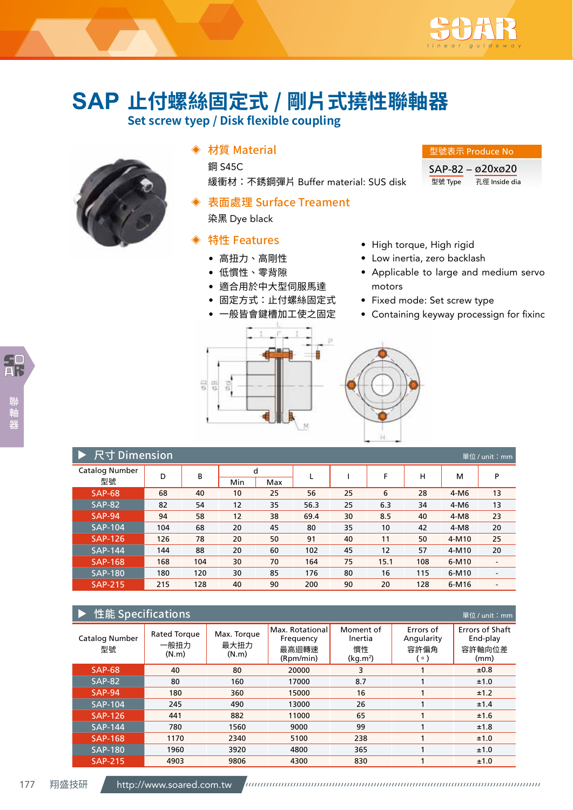

# **止付螺絲固定式 / 剛片式撓性聯軸器 SAP**

**Set screw tyep / Disk flexible coupling**



# ◈ 材質 Material

**鋼 S45C** 緩衝材:不銹鋼彈片 Buffer material: SUS disk

表面處理 Surface Treament

染黑 Dye black

# ◈ 特性 Features

- 高扭力、高剛性
- 低慣性、零背隙
- 適合用於中大型伺服馬達
- 固定方式:止付螺絲固定式
- 一般皆會鍵槽加工使之固定

SAP-82 – ø20xø20

型號 Type 孔徑 Inside dia

- High torque, High rigid
- Low inertia, zero backlash
- Applicable to large and medium servo motors
- Fixed mode: Set screw type
- Containing keyway processign for fixinc





| 尺寸 Dimension<br>單位 / unit: mm |     |     |          |     |      |    |      |     |         |                          |  |  |
|-------------------------------|-----|-----|----------|-----|------|----|------|-----|---------|--------------------------|--|--|
| Catalog Number<br>型號          | D   | В   | d<br>Min | Max |      |    | F    | н   | м       | P                        |  |  |
| $SAP-68$                      | 68  | 40  | 10       | 25  | 56   | 25 | 6    | 28  | $4-M6$  | 13                       |  |  |
| <b>SAP-82</b>                 | 82  | 54  | 12       | 35  | 56.3 | 25 | 6.3  | 34  | $4-M6$  | 13                       |  |  |
| <b>SAP-94</b>                 | 94  | 58  | 12       | 38  | 69.4 | 30 | 8.5  | 40  | $4-M8$  | 23                       |  |  |
| <b>SAP-104</b>                | 104 | 68  | 20       | 45  | 80   | 35 | 10   | 42  | $4-M8$  | 20                       |  |  |
| <b>SAP-126</b>                | 126 | 78  | 20       | 50  | 91   | 40 | 11   | 50  | 4-M10   | 25                       |  |  |
| <b>SAP-144</b>                | 144 | 88  | 20       | 60  | 102  | 45 | 12   | 57  | 4-M10   | 20                       |  |  |
| <b>SAP-168</b>                | 168 | 104 | 30       | 70  | 164  | 75 | 15.1 | 108 | $6-M10$ | $\overline{\phantom{a}}$ |  |  |
| <b>SAP-180</b>                | 180 | 120 | 30       | 85  | 176  | 80 | 16   | 115 | $6-M10$ | $\overline{\phantom{a}}$ |  |  |
| <b>SAP-215</b>                | 215 | 128 | 40       | 90  | 200  | 90 | 20   | 128 | $6-M16$ | -                        |  |  |

| 性能 Specifications<br>單位 / unit: mm |                               |                              |                                                    |                                                    |                                            |                                                      |  |  |  |  |
|------------------------------------|-------------------------------|------------------------------|----------------------------------------------------|----------------------------------------------------|--------------------------------------------|------------------------------------------------------|--|--|--|--|
| Catalog Number<br>型號               | Rated Torque<br>一般扭力<br>(N.m) | Max. Torque<br>最大扭力<br>(N.m) | Max. Rotational<br>Frequency<br>最高迴轉速<br>(Rpm/min) | Moment of<br>Inertia<br>慣性<br>(kq.m <sup>2</sup> ) | Errors of<br>Angularity<br>容許偏角<br>$\circ$ | <b>Frrors of Shaft</b><br>End-play<br>容許軸向位差<br>(mm) |  |  |  |  |
| <b>SAP-68</b>                      | 40                            | 80                           | 20000                                              | 3                                                  |                                            | ±0.8                                                 |  |  |  |  |
| <b>SAP-82</b>                      | 80                            | 160                          | 17000                                              | 8.7                                                |                                            | ±1.0                                                 |  |  |  |  |
| <b>SAP-94</b>                      | 180                           | 360                          | 15000                                              | 16                                                 |                                            | ±1.2                                                 |  |  |  |  |
| <b>SAP-104</b>                     | 245                           | 490                          | 13000                                              | 26                                                 |                                            | ±1.4                                                 |  |  |  |  |
| <b>SAP-126</b>                     | 441                           | 882                          | 11000                                              | 65                                                 |                                            | ±1.6                                                 |  |  |  |  |
| <b>SAP-144</b>                     | 780                           | 1560                         | 9000                                               | 99                                                 |                                            | ±1.8                                                 |  |  |  |  |
| <b>SAP-168</b>                     | 1170                          | 2340                         | 5100                                               | 238                                                |                                            | ±1.0                                                 |  |  |  |  |
| <b>SAP-180</b>                     | 1960                          | 3920                         | 4800                                               | 365                                                |                                            | ±1.0                                                 |  |  |  |  |
| <b>SAP-215</b>                     | 4903                          | 9806                         | 4300                                               | 830                                                |                                            | ±1.0                                                 |  |  |  |  |